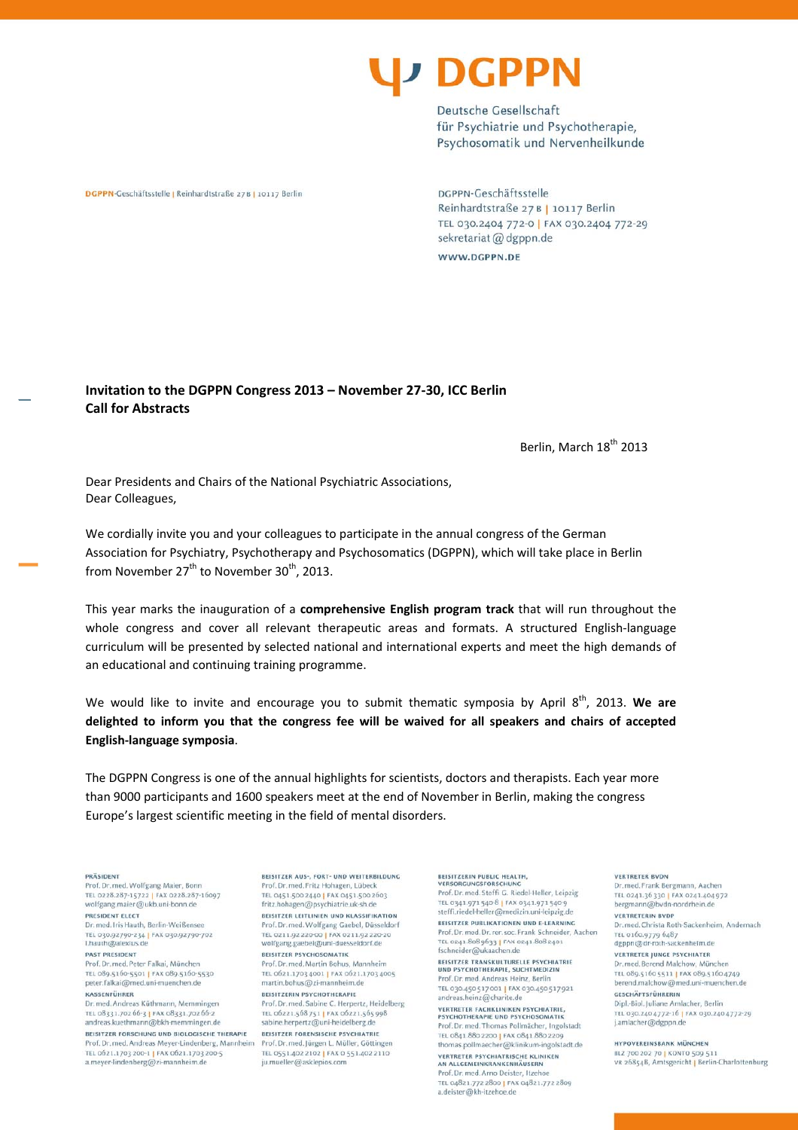

Deutsche Gesellschaft für Psychiatrie und Psychotherapie, Psychosomatik und Nervenheilkunde

DGPPN-Geschäftsstelle | Reinhardtstraße 27B | 10117 Berlin

DGPPN-Geschäftsstelle Reinhardtstraße 27 B | 10117 Berlin TEL 030.2404 772-0 | FAX 030.2404 772-29 sekretariat @ dgppn.de WWW.DGPPN.DE

Invitation to the DGPPN Congress 2013 - November 27-30. ICC Berlin **Call for Abstracts** 

Berlin, March 18<sup>th</sup> 2013

Dear Presidents and Chairs of the National Psychiatric Associations, Dear Colleagues,

We cordially invite you and your colleagues to participate in the annual congress of the German Association for Psychiatry, Psychotherapy and Psychosomatics (DGPPN), which will take place in Berlin from November 27<sup>th</sup> to November 30<sup>th</sup>, 2013.

This year marks the inauguration of a comprehensive English program track that will run throughout the whole congress and cover all relevant therapeutic areas and formats. A structured English-language curriculum will be presented by selected national and international experts and meet the high demands of an educational and continuing training programme.

We would like to invite and encourage you to submit thematic symposia by April 8<sup>th</sup>, 2013. We are delighted to inform you that the congress fee will be waived for all speakers and chairs of accepted English-language symposia.

The DGPPN Congress is one of the annual highlights for scientists, doctors and therapists. Each year more than 9000 participants and 1600 speakers meet at the end of November in Berlin, making the congress Europe's largest scientific meeting in the field of mental disorders.

## PRÄSIDENT

Prof. Dr. med. Wolfgang Maier, Bonn TEL 0228.287-15722 | FAX 0228.287-16007 wolfgang.maier@ukb.uni-bonn.de PRESIDENT ELECT

Dr. med. Iris Hauth, Berlin-Weißensee TEL 030.92790-234 | FAX 030.92790-702<br>i.hauth@alexius.de

## PAST PRESIDENT

Prof. Dr. med. Peter Falkai, München TEL 089.5160-5501 | FAX 089.5160-5530 peter.falkai@med.unj-muenchen.de KASSENFÜHRER

Dr. med. Andreas Küthmann, Memmingen TEL 08331.702 66-3 | FAX 08331.702 66-2<br>andreas.kuethmann@bkh-memmingen.de

BEISITZER FORSCHUNG UND BIOLOGISCHE THERAPIE Prof. Dr. med. Andreas Meyer-Lindenberg, Mannheim TEL 0621.1703 200-1 | FAX 0621.1703 200-5 a.meyer-lindenberg@zi-mannheim.de

BEISITZER AUS-, FORT- UND WEITERBILDUNG Prof. Dr. med. Fritz Hohagen, Lübeck TEL 0451,500 2440 | FAX 0451,500 2603 fritz.hohagen@psychiatrie.uk-sh.de BEISITZER LEITLINIEN UND KLASSIFIKATION

Prof. Dr. med. Wolfgang Gaebel, Düsseldorf TEL 0211.92 220-00 | FAX 0211.92 220-20<br>wolfgang.gaebel@uni-duesseldorf.de **REISITZER PSYCHOSOMATIK** Prof. Dr. med Martin Bobus, Mannheim

TEL 0621.1703 4001 | FAX 0621.1703 4005 martin.bohus@zi-mannheim.de BEISITZERIN PSYCHOTHERAPIE

Prof. Dr. med. Sabine C. Herpertz, Heidelberg TEL 06221.568751 | FAX 06221.565998<br>sabine.herpertz@uni-heidelberg.de

BEISITZER FORENSISCHE PSYCHIATRIE Prof. Dr. med. Jürgen L. Müller, Göttingen TEL 0551.402 2102 | FAX 0 551.402 2110 ju.mueller@asklepios.com

BEISITZERIN PUBLIC HEALTH. VERSORGUNGSFORSCHUNG

Prof. Dr. med. Steffi G. Riedel-Heller, Leipzig TEL 0341.971 540-8 | FAX 0341.971 540-9 steffi.riedel-heller@medizin.uni-leipzig.de BEISITZER PUBLIKATIONEN UND E-LEARNING Prof. Dr. med. Dr. rer. soc. Frank Schneider, Aachen TEL 0241.8089633 | FAX 0241.8082401<br>fschneider@ukaachen.de

**BEISITZER TRANSKULTURELLE PSYCHIATRIE**<br>UND PSYCHOTHERAPIE, SUCHTMEDIZIN Prof. Dr. med. Andreas Heinz, Berlin TEL 030.450 517 001 | FAX 030.450 517 921

andreas.heinz@charite.de **VERTRETER FACHKLINIKEN PSYCHIATRIE. PERTHER PREMENSION PSYCHOSOMATIK**<br>Prof. Dr. med. Thomas Pollmächer, Ingolstadt

TEL 0841.880 2200 | FAX 0841.880 2209 thomas.pollmaecher@klinikum-ingolstadt.de VERTRETER PSYCHIATRISCHE KLINIKEN AN ALLGEMEINKRANKENHÄUSERN

Prof. Dr. med. Arno Deister, Itzehoe<br>TEL 04821.772 2800 | FAX 04821.772 2809 a.deister@kh-itzehoe.de

## **VERTRETER BVDN**

Dr. med. Frank Bergmann, Aachen TEL 0241.36 330 | FAX 0241.404 972 bergmann@bvdn-nordrhein.de **VERTRETERIN BVDP** 

Dr. med. Christa Roth-Sackenheim, Andernach TEL 0160.9779 6487<br>dgppn@dr-roth-sackenheim.de

**VERTRETER JUNGE PSYCHIATER** Dr. med Berend Malchow, München TEL 089.5160 5511 | FAX 089.5160 4749

berend malchow@med uni-muenchen de CESCHÄFTSFÜHRERIN Dipl.-Biol. Juliane Amlacher, Berlin

TEL 030.2404772-16 | FAX 030.2404772-29<br>j.amlacher@dgppn.de

HYPOVEREINSBANK MÜNCHEN BLZ 700 202 70 | KONTO 509 513

VR 26854B, Amtsgericht | Berlin-Charlottenburg